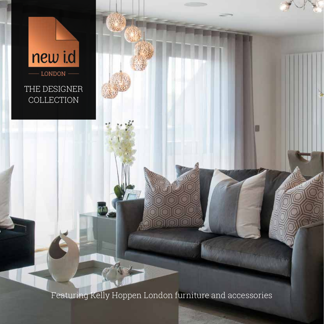# new i.d

LONDON

THE DESIGNER COLLECTION

Featuring Kelly Hoppen London furniture and accessories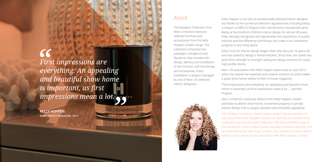*First impressions are everything. An appealing and beautiful show home is important, as first impressions mean a lot.*

KELLY HOPPEN NEW i.dENTITY MAGAZINE, 2013

### About

The Designer Collection from New i.d Interiors features selected furniture and accessories from the Kelly Hoppen London range. The collection comprises two packages, Indulgence and Opulence, that includes the design, delivery and installation of the furniture, soft furnishings and accessories. Every installation is project managed by one of New i.d's talented interior designers.



Kelly Hoppen is not only an exceptionally talented interior designer, but thanks to her numerous television appearances, including being a 'dragon' on BBC2's Dragon's Den, has become a household name. Being at the forefront of British interior design for almost 40 years, Kelly naturally recognises and appreciates the importance of quality interiors and the difference furnishings can make in an investment property or any living space.

CEO of New i.d Interiors, Daniel Caplan stated "We are excited and very proud that Kelly Hoppen London has allowed us to feature their furniture in our new Designer Collection. We have identified a gap in the market for a much higher quality one-stop furniture collection and are anticipating the new range to prove very successful, particularly in having such a strong brand association with Kelly Hoppen London."

Kelly's love for interior design began when she was just 16 years old and was asked to design a friend's kitchen. Since then, her career has gone from strength to strength, seeing her design interiors for many high-profile clients.

New i.d's association with Kelly Hoppen dates back to June 2013 when she shared her expertise and creative intuition on what makes a great show home interior in their in-house magazine.

"First impressions are everything. An appealing and beautiful show home is important, as first impressions mean a lot...," said Ms

Hoppen.

New i.d Interiors' exclusive alliance with Kelly Hoppen London promises to deliver show home, investment property or private interior design that is unique, beautiful and irresistibly appealing.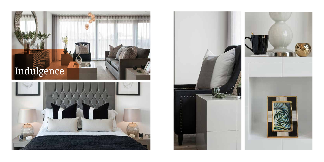





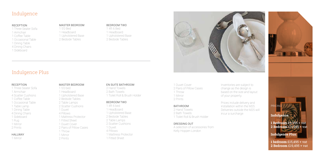### Indulgence

### Indulgence Plus

#### RECEPTION

- 1 Three Seater Sofa
- 1 Armchair
- 1 Coffee Table
- 1 Occasional Table
- 1 Dining Table
- 4 Dining Chairs
- 1 Sideboard

#### MASTER BEDROOM

1 5'0 Bed 1 Headboard 1 Upholstered Base 2 Bedside Tables

#### BEDROOM TWO

1 4ft 6 Bed 1 Headboard 1 Upholstered Base 2 Bedside Tables



#### RECEPTION

1 Three Seater Sofa 1 Armchair 4 Scatter Cushions 1 Coffee Table 1 Occasional Table 1 Table Lamp 1 Dining Table 4 Dining Chairs 1 Sideboard 1 Rug 1 Mirror 2 Prints

#### **HALLWAY**

1 Mirror

#### MASTER BEDROOM

1 5'0 bed 1 Headboard 1 Upholstered Base 2 Bedside Tables 2 Table Lamps 2 Scatter Cushions 1 Duvet 4 Pillows 1 Mattress Protector 1 Fitted Sheet 1 Duvet Cover 2 Pairs of Pillow Cases 1 Throw 1 Mirror 2 Prints

#### EN SUITE BATHROOM

2 Hand Towels 2 Bath Towels 1 Toilet Roll & Brush Holder

#### BEDROOM TWO

1 4ft 6 bed 1 Headboard

- 1 Upholstered Base
- 2 Bedside Tables
- 2 Table Lamps
- 2 Scatter Cushions
- 1 Duvet
- 4 Pillows
- 1 Mattress Protector
- 1 Fitted Sheet

#### 1 Duvet Cover 2 Pairs of Pillow Cases 1 Throw 1 Mirror 2 Prints

BATHROOM 2 Hand Towels 2 Bath Towels

1 Toilet Roll & Brush Holder

### DRESSING OUT

A selection of accessories from Kelly Hoppen London

Inventories are subject to change as the design is based on the size and layout of your property.

Prices include delivery and installation within the M25. Deliveries outside the M25 will incur a surcharge

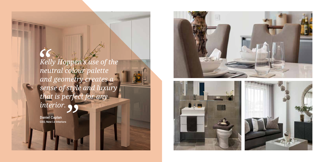*Kelly Hoppen's use of the neutral colour palette and geometry creates a sense of style and luxury that is perfect for any interior.*

Daniel Caplan CEO, New i.d Interiors



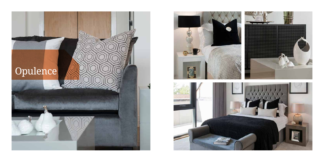

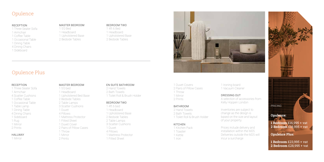### Opulence

### Opulence Plus

#### RECEPTION

- 1 Three Seater Sofa
- 1 Armchair
- 1 Coffee Table
- 1 Occasional Table
- 1 Dining Table
- 4 Dining Chairs
- 1 Sideboard

#### MASTER BEDROOM

1 5'0 Bed 1 Headboard 1 Upholstered Base 2 Bedside Tables

#### BEDROOM TWO

1 4ft 6 Bed 1 Headboard 1 Upholstered Base 2 Bedside Tables



#### RECEPTION

1 Three Seater Sofa 1 Armchair 4 Scatter Cushions 1 Coffee Table 1 Occasional Table 1 Table Lamp 1 Dining Table 4 Dining Chairs 1 Sideboard 1 Rug 1 Mirror 2 Prints

#### HALLWAY

1 Mirror

#### MASTER BEDROOM

1 5'0 bed 1 Headboard 1 Upholstered Bed Base 2 Bedside Tables 2 Table Lamps 3 Scatter Cushions 1 Duvet 4 Pillows 1 Mattress Protector 1 Fitted Sheet 1 Duvet Cover 2 Pairs of Pillow Cases 1 Throw 1 Mirror 2 Prints

#### EN SUITE BATHROOM

2 Hand Towels 2 Bath Towels 1 Toilet Roll & Brush Holder

#### BEDROOM TWO

1 4ft 6 bed 1 Headboard 1 Upholstered Base 2 Bedside Tables 2 Table Lamps 3 Scatter Cushions 1 Duvet 4 Pillows 1 Mattress Protector

1 Fitted Sheet

1 Duvet Covers 2 Pairs of Pillow Cases 1 Throw 1 Mirror 2 Prints

#### BATHROOM

2 Hand Towels 2 Bath Towels 1 Toilet Roll & Brush Holder

#### KITCHEN

1 Kitchen Pack 1 Toaster 1 Kettle 1 Iron

1 Ironing board 1 Vacuum Cleaner

#### DRESSING OUT

A selection of accessories from Kelly Hoppen London

Inventories are subject to change as the design is based on the size and layout of your property.

Prices include delivery and installation within the M25. Deliveries outside the M25 will incur a surcharge



**Opulence Plus:**

**1 Bedroom** £23,995 + vat **2 Bedroom** £28,995 + vat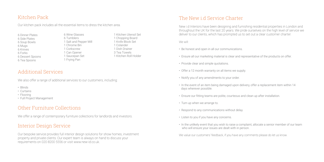New i.d Interiors have been designing and furnishing residential properties in London and throughout the UK for the last 20 years. We pride ourselves on the high level of service we deliver to our clients, which has prompted us to set out a clear customer charter.

We will:

- Be honest and open in all our communications.
- Ensure all our marketing material is clear and representative of the products on offer.
- Provide clear and simple quotations.
- Offer a 12 month warranty on all items we supply.
- Notify you of any amendments to your order.
- In the event of an item being damaged upon delivery, offer a replacement item within 14 days wherever possible.
- Ensure our fitting teams are polite, courteous and clean up after installation.
- Turn up when we arrange to.
- Respond to any communications without delay.
- Listen to you if you have any concerns.
- In the unlikely event that you wish to raise a complaint, allocate a senior member of our team who will ensure your issues are dealt with in person.

We value our customers' feedback, if you have any comments please do let us know.

### Additional Services

We also offer a range of additional services to our customers, including:

- Blinds
- Curtains
- Flooring
- Full Project Management

### Interior Design Service

Our bespoke service provides full interior design solutions for show homes, investment property and private clients. Our expert team is always on hand to discuss your requirements on 020 8200 5556 or visit www.new-id.co.uk.

### The New i.d Service Charter

## Other Furniture Collections

We offer a range of contemporary furniture collections for landlords and investors.

### Kitchen Pack

Our kitchen pack includes all the essential items to dress the kitchen area.

6 Dinner Plates 6 Side Plates 6 Soup Bowls 6 Mugs 6 Knives 6 Forks 6 Dessert Spoons 6 Tea Spoons

6 Wine Glasses 6 Tumblers 1 Salt and Pepper Mill 1 Chrome Bin 1 Corkscrew 1 Can Opener 1 Saucepan Set 1 Frying Pan

1 Kitchen Utensil Set 1 Chopping Board 1 Knife Block Set 1 Colander 1 Dish Drainer 3 Tea Towels 1 Kitchen Roll Holder